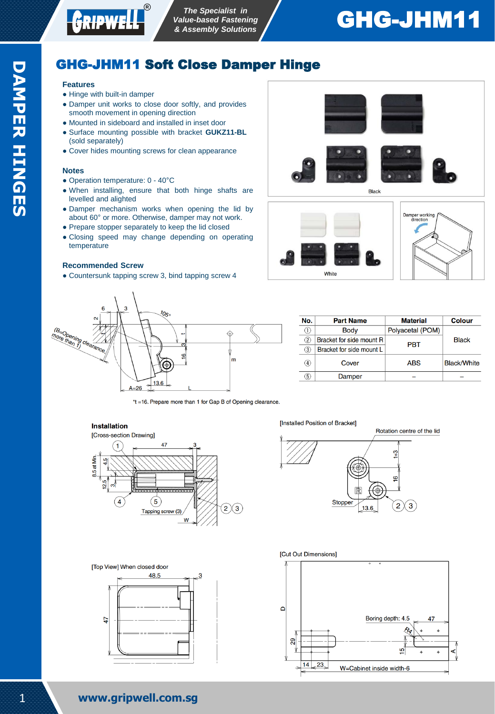

# GHG-JHM11

# GHG-JHM11 Soft Close Damper Hinge

### **Features**

- Hinge with built-in damper
- Damper unit works to close door softly, and provides smooth movement in opening direction
- Mounted in sideboard and installed in inset door
- Surface mounting possible with bracket **GUKZ11-BL** (sold separately)
- Cover hides mounting screws for clean appearance

#### **Notes**

- Operation temperature: 0 40°C
- When installing, ensure that both hinge shafts are levelled and alighted
- Damper mechanism works when opening the lid by about 60° or more. Otherwise, damper may not work.
- Prepare stopper separately to keep the lid closed
- Closing speed may change depending on operating temperature

#### **Recommended Screw**

• Countersunk tapping screw 3, bind tapping screw 4





\*t =16. Prepare more than 1 for Gap B of Opening clearance.

## **Installation**



[Top View] When closed door



**Installed Position of Bracket1** 











| No.               | <b>Part Name</b>         | <b>Material</b>  | <b>Colour</b>      |
|-------------------|--------------------------|------------------|--------------------|
|                   | <b>Body</b>              | Polyacetal (POM) | <b>Black</b>       |
| $\left( 2\right)$ | Bracket for side mount R | <b>PRT</b>       |                    |
| 3)                | Bracket for side mount L |                  |                    |
| $\circledast$     | Cover                    | <b>ABS</b>       | <b>Black/White</b> |
| 5)                | Damper                   |                  |                    |